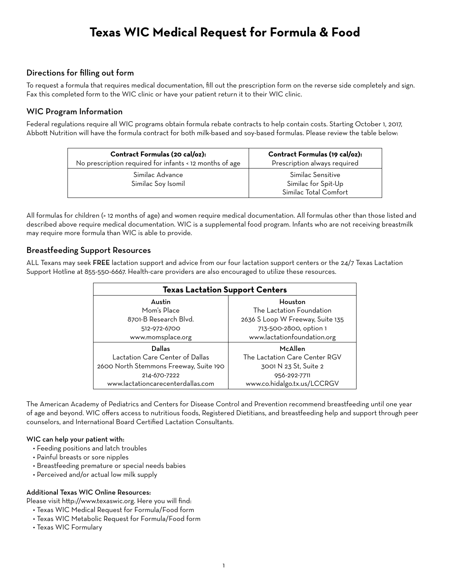# **Texas WIC Medical Request for Formula & Food**

## Directions for filling out form

To request a formula that requires medical documentation, fill out the prescription form on the reverse side completely and sign. Fax this completed form to the WIC clinic or have your patient return it to their WIC clinic.

## WIC Program Information

Federal regulations require all WIC programs obtain formula rebate contracts to help contain costs. Starting October 1, 2017, Abbott Nutrition will have the formula contract for both milk-based and soy-based formulas. Please review the table below:

| Contract Formulas (20 cal/oz):<br>No prescription required for infants < 12 months of age | Contract Formulas (19 cal/oz):<br>Prescription always required |
|-------------------------------------------------------------------------------------------|----------------------------------------------------------------|
| Similac Advance                                                                           | Similac Sensitive                                              |
| Similac Soy Isomil                                                                        | Similac for Spit-Up                                            |
|                                                                                           | Similac Total Comfort                                          |

All formulas for children (> 12 months of age) and women require medical documentation. All formulas other than those listed and described above require medical documentation. WIC is a supplemental food program. Infants who are not receiving breastmilk may require more formula than WIC is able to provide.

## Breastfeeding Support Resources

ALL Texans may seek FREE lactation support and advice from our four lactation support centers or the 24/7 Texas Lactation Support Hotline at 855-550-6667. Health-care providers are also encouraged to utilize these resources.

| <b>Texas Lactation Support Centers</b> |                                  |  |  |  |
|----------------------------------------|----------------------------------|--|--|--|
| Austin                                 | Houston                          |  |  |  |
| Mom's Place                            | The Lactation Foundation         |  |  |  |
| 8701-B Research Blvd.                  | 2636 S Loop W Freeway, Suite 135 |  |  |  |
| 512-972-6700                           | 713-500-2800, option 1           |  |  |  |
| www.momsplace.org                      | www.lactationfoundation.org      |  |  |  |
| Dallas                                 | McAllen                          |  |  |  |
| Lactation Care Center of Dallas        | The Lactation Care Center RGV    |  |  |  |
| 2600 North Stemmons Freeway, Suite 190 | 3001 N 23 St. Suite 2            |  |  |  |
| 214-670-7222                           | 956-292-7711                     |  |  |  |
| www.lactationcarecenterdallas.com      | www.co.hidalgo.tx.us/LCCRGV      |  |  |  |

The American Academy of Pediatrics and Centers for Disease Control and Prevention recommend breastfeeding until one year of age and beyond. WIC offers access to nutritious foods, Registered Dietitians, and breastfeeding help and support through peer counselors, and International Board Certified Lactation Consultants.

### WIC can help your patient with:

- Feeding positions and latch troubles
- Painful breasts or sore nipples
- Breastfeeding premature or special needs babies
- Perceived and/or actual low milk supply

### Additional Texas WIC Online Resources:

Please visit http://www.texaswic.org. Here you will find:

- Texas WIC Medical Request for Formula/Food form
- Texas WIC Metabolic Request for Formula/Food form
- Texas WIC Formulary